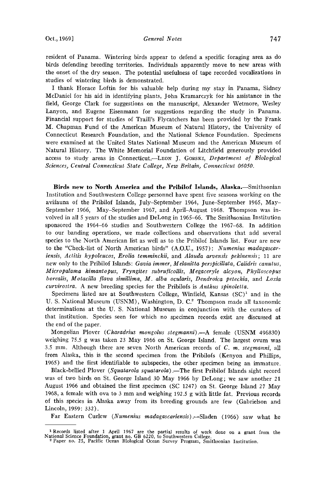**resident of Panama. Wintering birds appear to defend a specific foraging area as do birds defending breeding territories. Individuals apparently move to new areas with the onset of the dry season. The potential usefulness of tape recorded vocalizations in studies of wintering birds is demonstrated.** 

**I thank Horace Loftin for his valuable help during my stay in Panama, Sidney McDaniel for his aid in identifying plants, John Kramarczyk for his assistance in the field, George Clark for suggestions on the manuscript, Alexander Wetmore, Wesley Lanyon, and Eugene Eisenmann for suggestions regarding the study in Panama. Financial support for studies of Traill's Flycatchers has been provided by the Frank M. Chapman Fund of the American Museum of Natural History, the University of Connecticut Research Foundation, and the National Science Foundation. Specimens were examined at the United States National Museum and the American Museum of Natural History. The White Memorial Foundation of Litchfield generously provided**  access to study areas in Connecticut.--LEON J. GORSKI, Department of Biological **Sciences, Central Connecticut State College, New Britain, Connecticut 06050.** 

Birds new to North America and the Pribilof Islands, Alaska.--Smithsonian **Institution and Southwestern College personnel have spent five seasons working on the avifauna of the Pribilof Islands, July-September 1964, June-September 1965, May-September 1966, May-September 1967, and April-August 1968. Thompson was involved in all 5 years of the studies and DeLong in 1965-66. The Smithsonian Institution sponsored the 1964-66 studies and Southwestern College the 1967-68. In addition to our banding operations, we made collections and observations. that add several species to the North American list as well as to the Pribilof Islands list. Four are new to the "Check-list of North American birds" (A.O.U., 1957): Numenius madagascar**iensis, Actitis hypoleucos, Erolia temminckii, and Alauda arvensis pekinensis; 11 are **new only to the Pribilof Islands: Gayla immer, Melanitta perspicillata, Calidris canutus, Micropalama himantopus, Tryngites subruficollis, Megaceryle alcyon, Phylloscopus borealis, Motacilla ]lava simillima, M. alba ocularis, Dendroica petechia, and Loxia curvirostra. A new breeding species for the Pribilofs is Anthus spinoletta.** 

Specimens listed are at Southwestern College, Winfield, Kansas (SC)<sup>1</sup> and in the **U.S. National Museum (USNM), Washington, D.C. 2 Thompson made all taxonomic determinations at the U.S. National Museum in conjunction with the curators of that institution. Species seen for which no specimen records exist are discussed at the end of the paper.** 

**Mongolian Plover (Charadrius mongolus stegmanni).--A female (USNM 496830) weighing 75.5 g was taken 23 May 1966 on St. George Island. The largest ovum was 3.5 mm. Although there are seven North American records of C. m. stegmanni, all from Alaska, this is the second specimen from the Pribilofs (Kenyon and Phillips, 1965) and the first identifiable to subspecies, the other specimen being an immature.** 

Black-bellied Plover (Squatarola squatarola).—The first Pribilof Islands sight record **was of two birds on St. George Island 30 May 1966 by DeLong; we saw another 21 August 1966 and obtained the first specimen (SC 1247) on St. George Island 27 May 1968, a female with ova to 3 mm and weighing 192.5 g with little fat. Previous records of this species in Alaska away from its breeding grounds are few (Gabrielson and Lincoln, 1959: 332).** 

Far Eastern Curlew (Numenius madagascariensis).—Sladen (1966) saw what he

<sup>&</sup>lt;sup>4</sup> Records listed atter 1 April 1967 are the partial results of work done on a grant from the National Science Foundation, grant no. GB 6220, to Southwestern College.<br><sup>2</sup> Paper no. 25, Pacific Ocean Biological Ocean Surve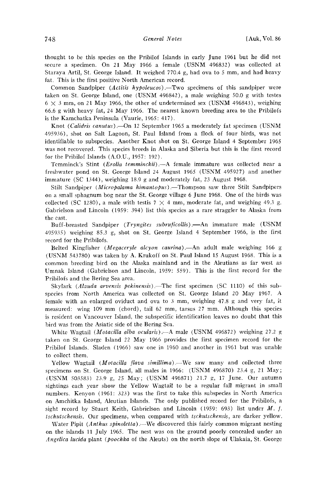**thought to be this species on the Pribilof Islands in early June 1961 but he did not secure a specimen. On 21 May 1966 a female (USNM 496832) was collected at Staraya Artil, St. George Island. It weighed 770.4 g, had ova to 5 mm, and had heavy fat. This is the first positive North American record.** 

Common Sandpiper (Actitis hypoleucos).—Two specimens of this sandpiper were **taken on St. George Island, one (USNM 496842), a male weighing 50.0 g with testes**   $6 \times 3$  mm, on 21 May 1966, the other of undetermined sex (USNM 496843), weighing 66.6 g with heavy fat, 24 May 1966. The nearest known breeding area to the Pribilofs **is the Kamchatka Peninsula (Vaurie, 1965: 417).** 

Knot (Calidris canutus). On 12 September 1965 a moderately fat specimen (USNM **495936), shot on Salt Lagoon, St. Paul Island from a flock of four birds, was not identifiable to subspecies. Another Knot shot on St. George Island 4 September 1965 was not recovered. This species breeds in Alaska and Siberia but this is the first record for the Pribilof Islands (A.O.U., 1957: 192).** 

**Tcmminck's Stint (Erolia temminckii).--A female immature was collected near a freshwater pond on St. George Island 24 August 1965 (USNM 495927) and another immature (SC 1344), weighing 18.9 g and moderately fat, 23 August 1968.** 

**Stilt Sandpiper** (*Micropalama himantopus*).—Thompson saw three Stilt Sandpipers **on a small sphagnum bog near the St. George village 6 June 1968. One of the birds was**  collected (SC 1280), a male with testis  $7 \times 4$  mm, moderate fat, and weighing 49.3 g. **Gabrielson and Lincoln (1959: 394) list this species as a rare straggler to Alaska from the east.** 

Buff-breasted Sandpiper (Tryngites subruficollis).-An immature male (USNM **495935) weighing 85.3 g, shot on St. George Island 4 September 1966, is the first record for the Pribilofs.** 

Belted Kingfisher (*Megaceryle alcyon caurina*).—An adult male weighing 166 g **(USNM 543780) was taken by A. Krukoff on St. Paul Island 15 August 1968. This is a common breeding bird on the Alaska mainland and in the Aleutians as far west as Umnak Island (Gabrielson and Lincoln, 1959: 559). This is the first record for the Prihilofs and the Bering Sea area.** 

Skylark (*Alauda arvensis pekinensis*).—The first specimen (SC 1110) of this sub**species from North America was collected on St. George Island 20 May 1967. A**  female with an enlarged oviduct and ova to 3 mm, weighing 47.8 g and very fat, it **measured: wing 109 mm (chord), tail 62 mm, tarsus 27 mm. Although this species is resident on Vancouver Island, the subspecific identification leaves no doubt that this bird was from the Asiatic side of the Bering Sea.** 

White Wagtail (*Motacilla alba ocularis*).—A male (USNM 496872) weighing 27.2 g **taken on St. George Island 22 May 1966 provides the first specimen record for the Pribilof Islands. Sladen (1966) saw one in 1960 and another in 1961 but was unable to collect them.** 

Yellow Wagtail (*Motacilla flava simillima*).—We saw many and collected three **specimens on St. George Island, all males in 1966: (USNM 496870) 23.4 g, 21 May; (USNM 503583) 23.9 g, 25 May; (USNM 496871) 21.7 g, 17 June. Our autumn sightings each year show the Yellow Wagtail to be a regular fall migrant in small numbers. Kenyon (1961: 323) was the first to take this subspecies in North America on Amchitka Island, Aleutian Islands. The only published record for the Pribilofs, a**  sight record by Stuart Keith, Gabrielson and Lincoln (1959: 693) list under M. f. **tschutschensis. Our specimens, when compared with tschutschensis, are darker yellow.** 

Water Pipit (Anthus spinoletta) —We discovered this fairly common migrant nesting **on the islands 11 July 1965. The nest was on the ground poorly concealed under an Angelica lucida plant (poochka of the Aleuts) on the north slope of Ulakaia, St. George**